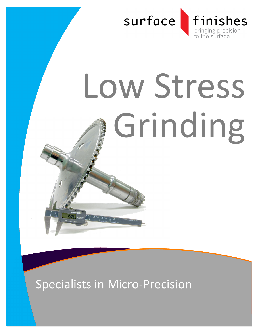

# Low Stress Grinding

Specialists in Micro-Precision